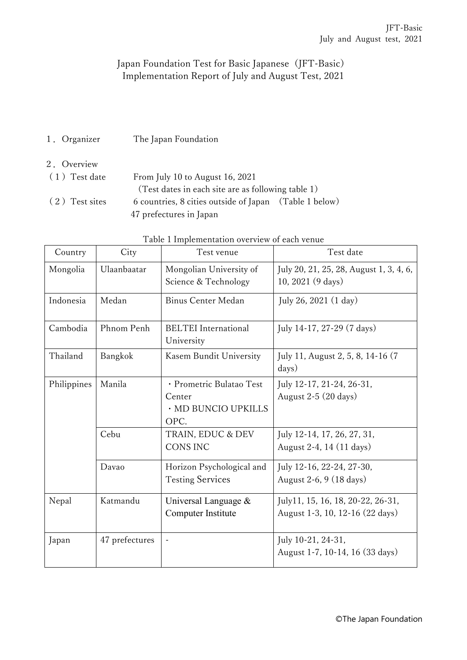## Japan Foundation Test for Basic Japanese (JFT-Basic) Implementation Report of July and August Test, 2021

1.Organizer The Japan Foundation

## 2.Overview

| (1) Test date  | From July 10 to August 16, 2021                        |  |  |
|----------------|--------------------------------------------------------|--|--|
|                | (Test dates in each site are as following table 1)     |  |  |
| (2) Test sites | 6 countries, 8 cities outside of Japan (Table 1 below) |  |  |
|                | 47 prefectures in Japan                                |  |  |

| Country     | City           | Test venue                                                        | Test date                                                            |
|-------------|----------------|-------------------------------------------------------------------|----------------------------------------------------------------------|
| Mongolia    | Ulaanbaatar    | Mongolian University of<br>Science & Technology                   | July 20, 21, 25, 28, August 1, 3, 4, 6,<br>10, 2021 (9 days)         |
| Indonesia   | Medan          | <b>Binus Center Medan</b>                                         | July 26, 2021 (1 day)                                                |
| Cambodia    | Phnom Penh     | <b>BELTEI</b> International<br>University                         | July 14-17, 27-29 (7 days)                                           |
| Thailand    | Bangkok        | Kasem Bundit University                                           | July 11, August 2, 5, 8, 14-16 (7<br>days)                           |
| Philippines | Manila         | · Prometric Bulatao Test<br>Center<br>· MD BUNCIO UPKILLS<br>OPC. | July 12-17, 21-24, 26-31,<br>August $2-5$ (20 days)                  |
|             | Cebu           | TRAIN, EDUC & DEV<br><b>CONS INC</b>                              | July 12-14, 17, 26, 27, 31,<br>August 2-4, 14 (11 days)              |
|             | Davao          | Horizon Psychological and<br><b>Testing Services</b>              | July 12-16, 22-24, 27-30,<br>August 2-6, 9 (18 days)                 |
| Nepal       | Katmandu       | Universal Language &<br>Computer Institute                        | July11, 15, 16, 18, 20-22, 26-31,<br>August 1-3, 10, 12-16 (22 days) |
| Japan       | 47 prefectures |                                                                   | July 10-21, 24-31,<br>August 1-7, 10-14, 16 (33 days)                |

|  | Table 1 Implementation overview of each venue |  |  |  |  |  |
|--|-----------------------------------------------|--|--|--|--|--|
|--|-----------------------------------------------|--|--|--|--|--|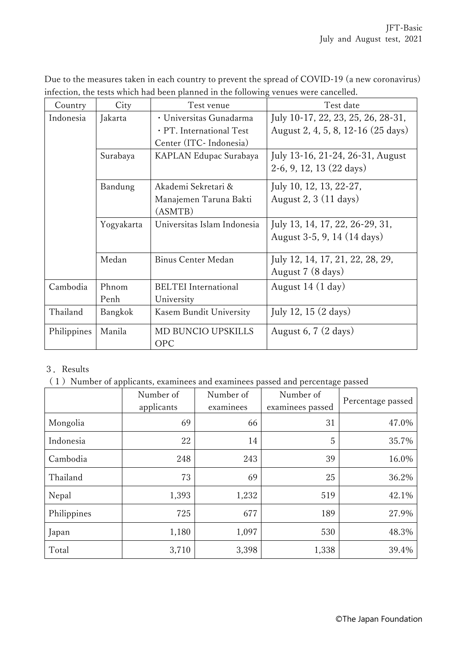| Due to the measures taken in each country to prevent the spread of COVID-19 (a new coronavirus) |  |
|-------------------------------------------------------------------------------------------------|--|
| infection, the tests which had been planned in the following venues were cancelled.             |  |

| Country     | City       | Test venue                  | Test date                          |
|-------------|------------|-----------------------------|------------------------------------|
| Indonesia   | Jakarta    | · Universitas Gunadarma     | July 10-17, 22, 23, 25, 26, 28-31, |
|             |            | · PT. International Test    | August 2, 4, 5, 8, 12-16 (25 days) |
|             |            | Center (ITC- Indonesia)     |                                    |
|             | Surabaya   | KAPLAN Edupac Surabaya      | July 13-16, 21-24, 26-31, August   |
|             |            |                             | $2-6, 9, 12, 13 (22 days)$         |
|             | Bandung    | Akademi Sekretari &         | July 10, 12, 13, 22-27,            |
|             |            | Manajemen Taruna Bakti      | August 2, $3(11 \text{ days})$     |
|             |            | (ASMTB)                     |                                    |
|             | Yogyakarta | Universitas Islam Indonesia | July 13, 14, 17, 22, 26-29, 31,    |
|             |            |                             | August 3-5, 9, 14 (14 days)        |
|             | Medan      | Binus Center Medan          | July 12, 14, 17, 21, 22, 28, 29,   |
|             |            |                             | August 7 (8 days)                  |
| Cambodia    | Phnom      | <b>BELTEI</b> International | August 14 (1 day)                  |
|             | Penh       | University                  |                                    |
| Thailand    | Bangkok    | Kasem Bundit University     | July 12, 15 $(2 \text{ days})$     |
| Philippines | Manila     | MD BUNCIO UPSKILLS          | August 6, 7 $(2 \text{ days})$     |
|             |            | <b>OPC</b>                  |                                    |

## 3.Results

(1) Number of applicants, examinees and examinees passed and percentage passed

|             | Number of<br>applicants | Number of<br>examinees | Number of<br>examinees passed | Percentage passed |
|-------------|-------------------------|------------------------|-------------------------------|-------------------|
| Mongolia    | 69                      | 66                     | 31                            | 47.0%             |
| Indonesia   | 22                      | 14                     | 5                             | 35.7%             |
| Cambodia    | 248                     | 243                    | 39                            | 16.0%             |
| Thailand    | 73                      | 69                     | 25                            | 36.2%             |
| Nepal       | 1,393                   | 1,232                  | 519                           | 42.1%             |
| Philippines | 725                     | 677                    | 189                           | 27.9%             |
| Japan       | 1,180                   | 1,097                  | 530                           | 48.3%             |
| Total       | 3,710                   | 3,398                  | 1,338                         | 39.4%             |